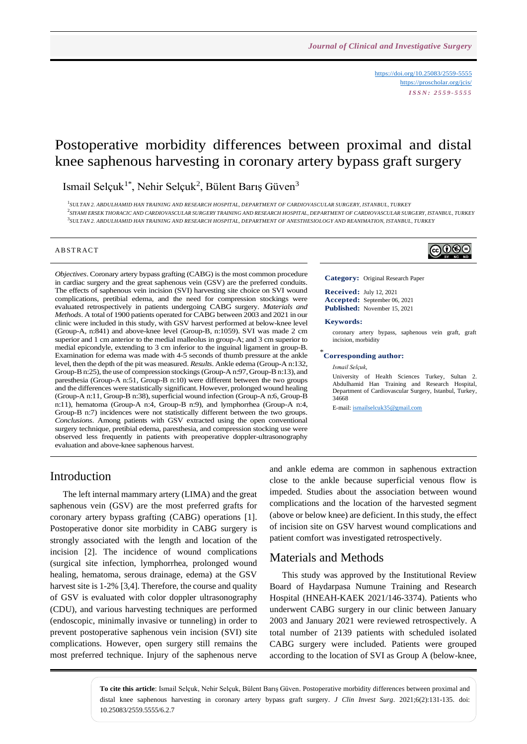<https://doi.org/10.25083/2559-5555> <https://proscholar.org/jcis/> *I S S N : 2 5 5 9 - 5 5 5 5*

# Postoperative morbidity differences between proximal and distal knee saphenous harvesting in coronary artery bypass graft surgery

Ismail Selçuk<sup>1\*</sup>, Nehir Selçuk<sup>2</sup>, Bülent Barış Güven<sup>3</sup>

1 *SULTAN 2. ABDULHAMID HAN TRAINING AND RESEARCH HOSPITAL, DEPARTMENT OF CARDIOVASCULAR SURGERY, ISTANBUL, TURKEY* .<br>SIYAMI ERSEK THORACIC AND CARDIOVASCULAR SURGERY TRAINING AND RESEARCH HOSPITAL, DEPARTMENT OF CARDIOVASCULAR SURGERY, ISTANBUL, TURKEY .<br><sup>3</sup>SULTAN 2. ABDULHAMID HAN TRAINING AND RESEARCH HOSPITAL, DEPARTMENT OF ANESTHESIOLOGY AND REANIMATION, ISTANBUL, TURKEY

#### **ABSTRACT**

*Objectives*. Coronary artery bypass grafting (CABG) is the most common procedure in cardiac surgery and the great saphenous vein (GSV) are the preferred conduits. The effects of saphenous vein incision (SVI) harvesting site choice on SVI wound complications, pretibial edema, and the need for compression stockings were evaluated retrospectively in patients undergoing CABG surgery. *Materials and Methods*. A total of 1900 patients operated for CABG between 2003 and 2021 in our clinic were included in this study, with GSV harvest performed at below-knee level (Group-A, n:841) and above-knee level (Group-B, n:1059). SVI was made 2 cm superior and 1 cm anterior to the medial malleolus in group-A; and 3 cm superior to medial epicondyle, extending to 3 cm inferior to the inguinal ligament in group-B. Examination for edema was made with 4-5 seconds of thumb pressure at the ankle level, then the depth of the pit was measured. *Results*. Ankle edema (Group-A n:132, Group-B n:25), the use of compression stockings (Group-A n:97, Group-B n:13), and paresthesia (Group-A n:51, Group-B n:10) were different between the two groups and the differences were statistically significant. However, prolonged wound healing (Group-A n:11, Group-B n:38), superficial wound infection (Group-A n:6, Group-B n:11), hematoma (Group-A n:4, Group-B n:9), and lymphorrhea (Group-A n:4, Group-B n:7) incidences were not statistically different between the two groups. *Conclusions*. Among patients with GSV extracted using the open conventional surgery technique, pretibial edema, paresthesia, and compression stocking use were observed less frequently in patients with preoperative doppler-ultrasonography evaluation and above-knee saphenous harvest.



**Category:** Original Research Paper

**Received:** July 12, 2021 **Accepted:** September 06, 2021 **Published:** November 15, 2021

#### **Keywords:**

coronary artery bypass, saphenous vein graft, graft incision, morbidity

### \* **Corresponding author:**

*Ismail Selçuk,*

University of Health Sciences Turkey, Sultan 2. Abdulhamid Han Training and Research Hospital, Department of Cardiovascular Surgery, Istanbul, Turkey, 34668

E-mail: [ismailselcuk35@gmail.com](mailto:ismailselcuk35@gmail.com)

### Introduction

The left internal mammary artery (LIMA) and the great saphenous vein (GSV) are the most preferred grafts for coronary artery bypass grafting (CABG) operations [1]. Postoperative donor site morbidity in CABG surgery is strongly associated with the length and location of the incision [2]. The incidence of wound complications (surgical site infection, lymphorrhea, prolonged wound healing, hematoma, serous drainage, edema) at the GSV harvest site is 1-2% [3,4]. Therefore, the course and quality of GSV is evaluated with color doppler ultrasonography (CDU), and various harvesting techniques are performed (endoscopic, minimally invasive or tunneling) in order to prevent postoperative saphenous vein incision (SVI) site complications. However, open surgery still remains the most preferred technique. Injury of the saphenous nerve and ankle edema are common in saphenous extraction close to the ankle because superficial venous flow is impeded. Studies about the association between wound complications and the location of the harvested segment (above or below knee) are deficient. In this study, the effect of incision site on GSV harvest wound complications and patient comfort was investigated retrospectively.

### Materials and Methods

This study was approved by the Institutional Review Board of Haydarpasa Numune Training and Research Hospital (HNEAH-KAEK 2021/146-3374). Patients who underwent CABG surgery in our clinic between January 2003 and January 2021 were reviewed retrospectively. A total number of 2139 patients with scheduled isolated CABG surgery were included. Patients were grouped according to the location of SVI as Group A (below-knee,

**To cite this article**: Ismail Selçuk, Nehir Selçuk, Bülent Barış Güven. Postoperative morbidity differences between proximal and distal knee saphenous harvesting in coronary artery bypass graft surgery. *J Clin Invest Surg*. 2021;6(2):131-135. doi: 10.25083/2559.5555/6.2.7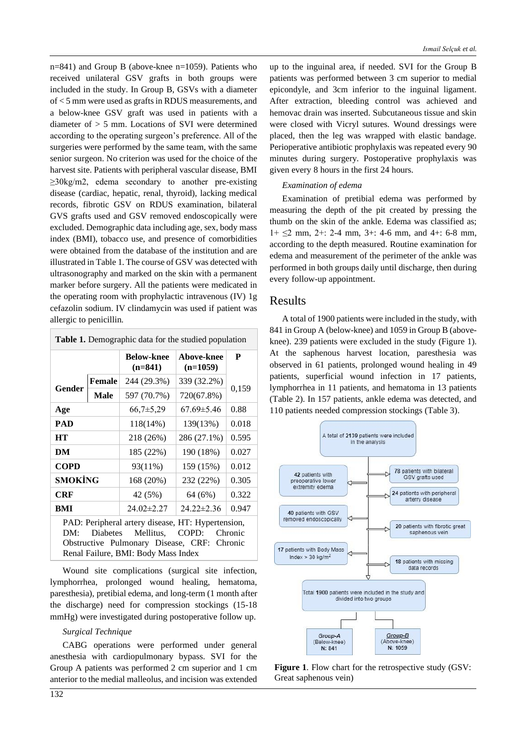n=841) and Group B (above-knee n=1059). Patients who received unilateral GSV grafts in both groups were included in the study. In Group B, GSVs with a diameter of < 5 mm were used as grafts in RDUS measurements, and a below-knee GSV graft was used in patients with a diameter of > 5 mm. Locations of SVI were determined according to the operating surgeon's preference. All of the surgeries were performed by the same team, with the same senior surgeon. No criterion was used for the choice of the harvest site. Patients with peripheral vascular disease, BMI ≥30kg/m2, edema secondary to another pre-existing disease (cardiac, hepatic, renal, thyroid), lacking medical records, fibrotic GSV on RDUS examination, bilateral GVS grafts used and GSV removed endoscopically were excluded. Demographic data including age, sex, body mass index (BMI), tobacco use, and presence of comorbidities were obtained from the database of the institution and are illustrated in Table 1. The course of GSV was detected with ultrasonography and marked on the skin with a permanent marker before surgery. All the patients were medicated in the operating room with prophylactic intravenous (IV) 1g cefazolin sodium. IV clindamycin was used if patient was allergic to penicillin.

| <b>Table 1.</b> Demographic data for the studied population |               |                                                                                                                                                      |                          |         |  |  |
|-------------------------------------------------------------|---------------|------------------------------------------------------------------------------------------------------------------------------------------------------|--------------------------|---------|--|--|
|                                                             |               | <b>Below-knee</b><br>$(n=841)$                                                                                                                       | Above-knee<br>$(n=1059)$ | P       |  |  |
| Gender                                                      | <b>Female</b> | 244 (29.3%)                                                                                                                                          | 339 (32.2%)              | 0,159   |  |  |
|                                                             | <b>Male</b>   | 597 (70.7%)                                                                                                                                          | 720(67.8%)               |         |  |  |
| Age                                                         |               | $66,7{\pm}5,29$                                                                                                                                      | $67.69 \pm 5.46$         | 0.88    |  |  |
| <b>PAD</b>                                                  |               | 118(14%)                                                                                                                                             | 139(13%)                 | 0.018   |  |  |
| <b>HT</b>                                                   |               | 218 (26%)                                                                                                                                            | 286 (27.1%)              | 0.595   |  |  |
| DM                                                          |               | 185 (22%)                                                                                                                                            | 190 (18%)                | 0.027   |  |  |
| <b>COPD</b>                                                 |               | 93(11%)                                                                                                                                              | 159 (15%)                | 0.012   |  |  |
| <b>SMOKİNG</b>                                              |               | 168 (20%)                                                                                                                                            | 232 (22%)                | 0.305   |  |  |
| <b>CRF</b>                                                  |               | 42 (5%)                                                                                                                                              | 64 (6%)                  | 0.322   |  |  |
| BMI                                                         |               | $24.02 \pm 2.27$                                                                                                                                     | $24.22 \pm 2.36$         | 0.947   |  |  |
| DM:                                                         | Diabetes      | PAD: Peripheral artery disease, HT: Hypertension,<br>Mellitus,<br>Obstructive Pulmonary Disease, CRF: Chronic<br>Renal Failure, BMI: Body Mass Index | COPD:                    | Chronic |  |  |

Wound site complications (surgical site infection, lymphorrhea, prolonged wound healing, hematoma, paresthesia), pretibial edema, and long-term (1 month after the discharge) need for compression stockings (15-18 mmHg) were investigated during postoperative follow up.

#### *Surgical Technique*

CABG operations were performed under general anesthesia with cardiopulmonary bypass. SVI for the Group A patients was performed 2 cm superior and 1 cm anterior to the medial malleolus, and incision was extended

up to the inguinal area, if needed. SVI for the Group B patients was performed between 3 cm superior to medial epicondyle, and 3cm inferior to the inguinal ligament. After extraction, bleeding control was achieved and hemovac drain was inserted. Subcutaneous tissue and skin were closed with Vicryl sutures. Wound dressings were placed, then the leg was wrapped with elastic bandage. Perioperative antibiotic prophylaxis was repeated every 90 minutes during surgery. Postoperative prophylaxis was given every 8 hours in the first 24 hours.

#### *Examination of edema*

Examination of pretibial edema was performed by measuring the depth of the pit created by pressing the thumb on the skin of the ankle. Edema was classified as;  $1 + \leq 2$  mm,  $2 + : 2 - 4$  mm,  $3 + : 4 - 6$  mm, and  $4 + : 6 - 8$  mm, according to the depth measured. Routine examination for edema and measurement of the perimeter of the ankle was performed in both groups daily until discharge, then during every follow-up appointment.

### Results

A total of 1900 patients were included in the study, with 841 in Group A (below-knee) and 1059 in Group B (aboveknee). 239 patients were excluded in the study (Figure 1). At the saphenous harvest location, paresthesia was observed in 61 patients, prolonged wound healing in 49 patients, superficial wound infection in 17 patients, lymphorrhea in 11 patients, and hematoma in 13 patients (Table 2). In 157 patients, ankle edema was detected, and 110 patients needed compression stockings (Table 3).



**Figure 1**. Flow chart for the retrospective study (GSV: Great saphenous vein)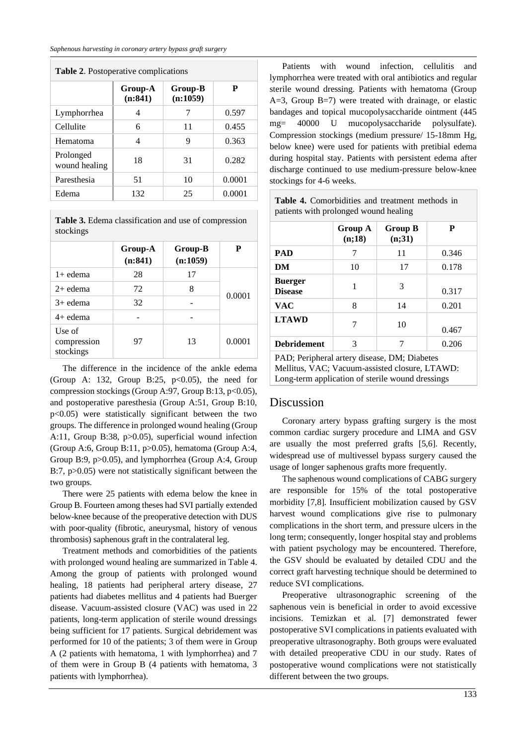| <b>Table 2.</b> Postoperative complications |                    |                     |        |  |  |
|---------------------------------------------|--------------------|---------------------|--------|--|--|
|                                             | Group-A<br>(n:841) | Group-B<br>(n:1059) | P      |  |  |
| Lymphorrhea                                 | 4                  | 7                   | 0.597  |  |  |
| Cellulite                                   | 6                  | 11                  | 0.455  |  |  |
| Hematoma                                    | 4                  | 9                   | 0.363  |  |  |
| Prolonged<br>wound healing                  | 18                 | 31                  | 0.282  |  |  |
| Paresthesia                                 | 51                 | 10                  | 0.0001 |  |  |
| Edema                                       | 132                | 25                  | 0.0001 |  |  |

**Table 3.** Edema classification and use of compression stockings

|                                    | Group-A<br>(n:841) | Group-B<br>(n:1059) | Р      |  |
|------------------------------------|--------------------|---------------------|--------|--|
| $1+$ edema                         | 28                 | 17                  |        |  |
| $2+$ edema                         | 72                 | 8                   |        |  |
| $3+$ edema                         | 32                 |                     | 0.0001 |  |
| $4+$ edema                         |                    |                     |        |  |
| Use of<br>compression<br>stockings | 97                 | 13                  | 0.0001 |  |

The difference in the incidence of the ankle edema (Group A: 132, Group B:25,  $p<0.05$ ), the need for compression stockings (Group A:97, Group B:13, p<0.05), and postoperative paresthesia (Group A:51, Group B:10, p<0.05) were statistically significant between the two groups. The difference in prolonged wound healing (Group A:11, Group B:38, p>0.05), superficial wound infection (Group A:6, Group B:11, p>0.05), hematoma (Group A:4, Group B:9, p>0.05), and lymphorrhea (Group A:4, Group B:7, p>0.05) were not statistically significant between the two groups.

There were 25 patients with edema below the knee in Group B. Fourteen among theses had SVI partially extended below-knee because of the preoperative detection with DUS with poor-quality (fibrotic, aneurysmal, history of venous thrombosis) saphenous graft in the contralateral leg.

Treatment methods and comorbidities of the patients with prolonged wound healing are summarized in Table 4. Among the group of patients with prolonged wound healing, 18 patients had peripheral artery disease, 27 patients had diabetes mellitus and 4 patients had Buerger disease. Vacuum-assisted closure (VAC) was used in 22 patients, long-term application of sterile wound dressings being sufficient for 17 patients. Surgical debridement was performed for 10 of the patients; 3 of them were in Group A (2 patients with hematoma, 1 with lymphorrhea) and 7 of them were in Group B (4 patients with hematoma, 3 patients with lymphorrhea).

Patients with wound infection, cellulitis and lymphorrhea were treated with oral antibiotics and regular sterile wound dressing. Patients with hematoma (Group A=3, Group B=7) were treated with drainage, or elastic bandages and topical mucopolysaccharide ointment (445 mg= 40000 U mucopolysaccharide polysulfate). Compression stockings (medium pressure/ 15-18mm Hg, below knee) were used for patients with pretibial edema during hospital stay. Patients with persistent edema after discharge continued to use medium-pressure below-knee stockings for 4-6 weeks.

**Table 4.** Comorbidities and treatment methods in patients with prolonged wound healing

|                                  | Group A<br>(n;18) | <b>Group B</b><br>(n;31) | P     |
|----------------------------------|-------------------|--------------------------|-------|
| <b>PAD</b>                       | 7                 | 11                       | 0.346 |
| DM                               | 10                | 17                       | 0.178 |
| <b>Buerger</b><br><b>Disease</b> | 1                 | 3                        | 0.317 |
| <b>VAC</b>                       | 8                 | 14                       | 0.201 |
| <b>LTAWD</b>                     | 7                 | 10                       | 0.467 |
| <b>Debridement</b>               | 3                 |                          | 0.206 |

PAD; Peripheral artery disease, DM; Diabetes Mellitus, VAC; Vacuum-assisted closure, LTAWD: Long-term application of sterile wound dressings

### Discussion

Coronary artery bypass grafting surgery is the most common cardiac surgery procedure and LIMA and GSV are usually the most preferred grafts [5,6]. Recently, widespread use of multivessel bypass surgery caused the usage of longer saphenous grafts more frequently.

The saphenous wound complications of CABG surgery are responsible for 15% of the total postoperative morbidity [7,8]. Insufficient mobilization caused by GSV harvest wound complications give rise to pulmonary complications in the short term, and pressure ulcers in the long term; consequently, longer hospital stay and problems with patient psychology may be encountered. Therefore, the GSV should be evaluated by detailed CDU and the correct graft harvesting technique should be determined to reduce SVI complications.

Preoperative ultrasonographic screening of the saphenous vein is beneficial in order to avoid excessive incisions. Temizkan et al. [7] demonstrated fewer postoperative SVI complications in patients evaluated with preoperative ultrasonography. Both groups were evaluated with detailed preoperative CDU in our study. Rates of postoperative wound complications were not statistically different between the two groups.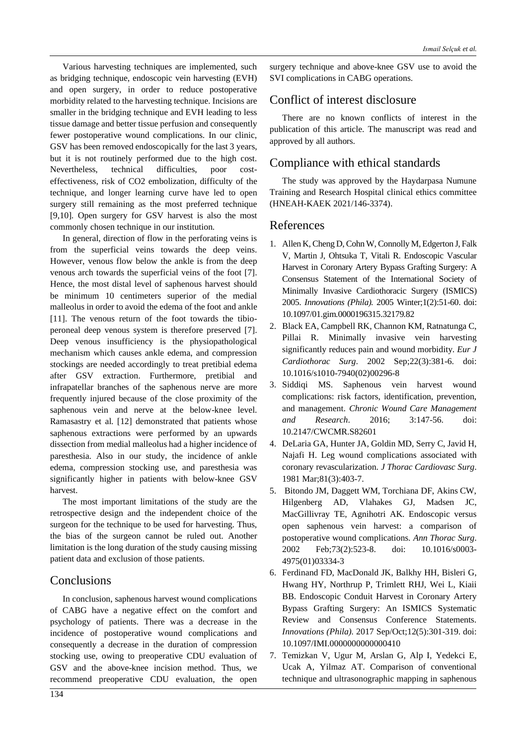Various harvesting techniques are implemented, such as bridging technique, endoscopic vein harvesting (EVH) and open surgery, in order to reduce postoperative morbidity related to the harvesting technique. Incisions are smaller in the bridging technique and EVH leading to less tissue damage and better tissue perfusion and consequently fewer postoperative wound complications. In our clinic, GSV has been removed endoscopically for the last 3 years, but it is not routinely performed due to the high cost. Nevertheless, technical difficulties, poor costeffectiveness, risk of CO2 embolization, difficulty of the technique, and longer learning curve have led to open surgery still remaining as the most preferred technique [9,10]. Open surgery for GSV harvest is also the most commonly chosen technique in our institution.

In general, direction of flow in the perforating veins is from the superficial veins towards the deep veins. However, venous flow below the ankle is from the deep venous arch towards the superficial veins of the foot [7]. Hence, the most distal level of saphenous harvest should be minimum 10 centimeters superior of the medial malleolus in order to avoid the edema of the foot and ankle [11]. The venous return of the foot towards the tibioperoneal deep venous system is therefore preserved [7]. Deep venous insufficiency is the physiopathological mechanism which causes ankle edema, and compression stockings are needed accordingly to treat pretibial edema after GSV extraction. Furthermore, pretibial and infrapatellar branches of the saphenous nerve are more frequently injured because of the close proximity of the saphenous vein and nerve at the below-knee level. Ramasastry et al. [12] demonstrated that patients whose saphenous extractions were performed by an upwards dissection from medial malleolus had a higher incidence of paresthesia. Also in our study, the incidence of ankle edema, compression stocking use, and paresthesia was significantly higher in patients with below-knee GSV harvest.

The most important limitations of the study are the retrospective design and the independent choice of the surgeon for the technique to be used for harvesting. Thus, the bias of the surgeon cannot be ruled out. Another limitation is the long duration of the study causing missing patient data and exclusion of those patients.

# **Conclusions**

In conclusion, saphenous harvest wound complications of CABG have a negative effect on the comfort and psychology of patients. There was a decrease in the incidence of postoperative wound complications and consequently a decrease in the duration of compression stocking use, owing to preoperative CDU evaluation of GSV and the above-knee incision method. Thus, we recommend preoperative CDU evaluation, the open surgery technique and above-knee GSV use to avoid the SVI complications in CABG operations.

# Conflict of interest disclosure

There are no known conflicts of interest in the publication of this article. The manuscript was read and approved by all authors.

# Compliance with ethical standards

The study was approved by the Haydarpasa Numune Training and Research Hospital clinical ethics committee (HNEAH-KAEK 2021/146-3374).

## References

- 1. Allen K, Cheng D, Cohn W, Connolly M, Edgerton J, Falk V, Martin J, Ohtsuka T, Vitali R. Endoscopic Vascular Harvest in Coronary Artery Bypass Grafting Surgery: A Consensus Statement of the International Society of Minimally Invasive Cardiothoracic Surgery (ISMICS) 2005. *Innovations (Phila).* 2005 Winter;1(2):51-60. doi: 10.1097/01.gim.0000196315.32179.82
- 2. Black EA, Campbell RK, Channon KM, Ratnatunga C, Pillai R. Minimally invasive vein harvesting significantly reduces pain and wound morbidity. *Eur J Cardiothorac Surg*. 2002 Sep;22(3):381-6. doi: 10.1016/s1010-7940(02)00296-8
- 3. Siddiqi MS. Saphenous vein harvest wound complications: risk factors, identification, prevention, and management. *Chronic Wound Care Management and Research*. 2016; 3:147-56. doi: 10.2147/CWCMR.S82601
- 4. DeLaria GA, Hunter JA, Goldin MD, Serry C, Javid H, Najafi H. Leg wound complications associated with coronary revascularization. *J Thorac Cardiovasc Surg*. 1981 Mar;81(3):403-7.
- 5. Bitondo JM, Daggett WM, Torchiana DF, Akins CW, Hilgenberg AD, Vlahakes GJ, Madsen JC, MacGillivray TE, Agnihotri AK. Endoscopic versus open saphenous vein harvest: a comparison of postoperative wound complications. *Ann Thorac Surg*. 2002 Feb;73(2):523-8. doi: 10.1016/s0003- 4975(01)03334-3
- 6. Ferdinand FD, MacDonald JK, Balkhy HH, Bisleri G, Hwang HY, Northrup P, Trimlett RHJ, Wei L, Kiaii BB. Endoscopic Conduit Harvest in Coronary Artery Bypass Grafting Surgery: An ISMICS Systematic Review and Consensus Conference Statements. *Innovations (Phila).* 2017 Sep/Oct;12(5):301-319. doi: 10.1097/IMI.0000000000000410
- 7. Temizkan V, Ugur M, Arslan G, Alp I, Yedekci E, Ucak A, Yilmaz AT. Comparison of conventional technique and ultrasonographic mapping in saphenous